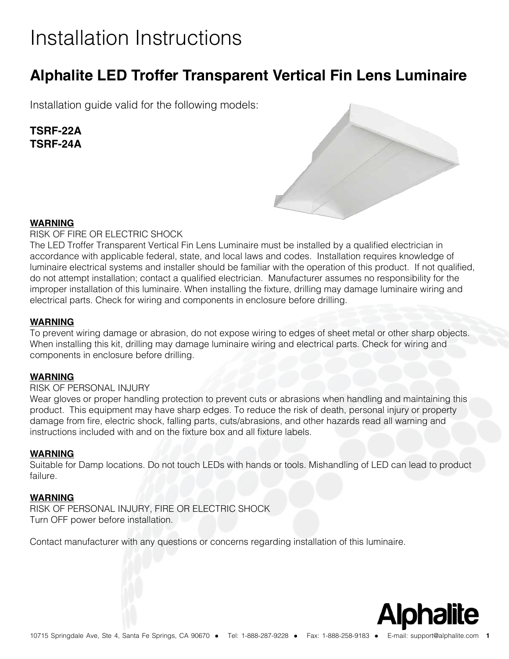# Installation Instructions

### **Alphalite LED Troffer Transparent Vertical Fin Lens Luminaire**

Installation guide valid for the following models:

### **TSRF-22A TSRF-24A**



### **WARNING**

RISK OF FIRE OR ELECTRIC SHOCK

The LED Troffer Transparent Vertical Fin Lens Luminaire must be installed by a qualifed electrician in accordance with applicable federal, state, and local laws and codes. Installation requires knowledge of luminaire electrical systems and installer should be familiar with the operation of this product. If not qualifed, do not attempt installation; contact a qualifed electrician. Manufacturer assumes no responsibility for the improper installation of this luminaire. When installing the fixture, drilling may damage luminaire wiring and electrical parts. Check for wiring and components in enclosure before drilling.

### **WARNING**

To prevent wiring damage or abrasion, do not expose wiring to edges of sheet metal or other sharp objects. When installing this kit, drilling may damage luminaire wiring and electrical parts. Check for wiring and components in enclosure before drilling.

### **WARNING**

### RISK OF PERSONAL INJURY

Wear gloves or proper handling protection to prevent cuts or abrasions when handling and maintaining this product. This equipment may have sharp edges. To reduce the risk of death, personal injury or property damage from fre, electric shock, falling parts, cuts/abrasions, and other hazards read all warning and instructions included with and on the fixture box and all fixture labels.

### **WARNING**

Suitable for Damp locations. Do not touch LEDs with hands or tools. Mishandling of LED can lead to product failure.

### **WARNING**

RISK OF PERSONAL INJURY, FIRE OR ELECTRIC SHOCK Turn OFF power before installation.

Contact manufacturer with any questions or concerns regarding installation of this luminaire.

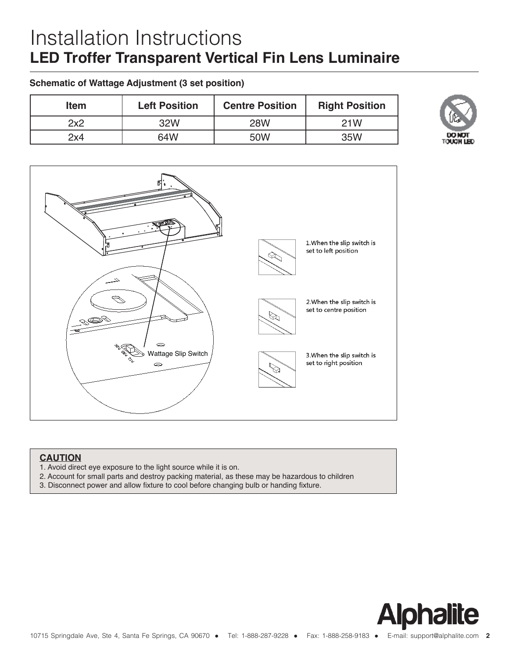## Installation Instructions LED Troffer Transparent Vertical F<sup>Installation Philips Bodine BSL310 (Optional)<br>
For installation of the Philips Bodine BSL310 EmergencyLED Driver</sup>

#### **Schematic of Wattage Adjustment (3 set position)**

| <b>Item</b> | <b>Left Position</b> | <b>Centre Position</b> | <b>Right Position</b> |
|-------------|----------------------|------------------------|-----------------------|
| 2x2         | 32W                  | <b>28W</b>             | 21W                   |
| 2x4         | 64W                  | 50W                    | 35W                   |



#### **CAUTION** into the driver. Dip switch is accommodated with 3 options (up, middle and down ), corresponding to 3  $c$  corresponding to 3  $c$  corresponding to 3 colors (up, middle and down ), corresponding to 3 colors (up, middle and

- 1. Avoid direct eye exposure to the light source while it is on.
- 2. Account for small parts and destroy packing material, as these may be hazardous to children
- 3. Disconnect power and allow fixture to cool before changing bulb or handing fixture.





**DO NOT TOUCH LED** 

toh. Shuttos 2 Gmuschg: Connect to the Incoming from coacluit.

Screw groundingsable from Led Panel (B) to original on the Fhost fature ground connection is made trough host fasture.

20130999